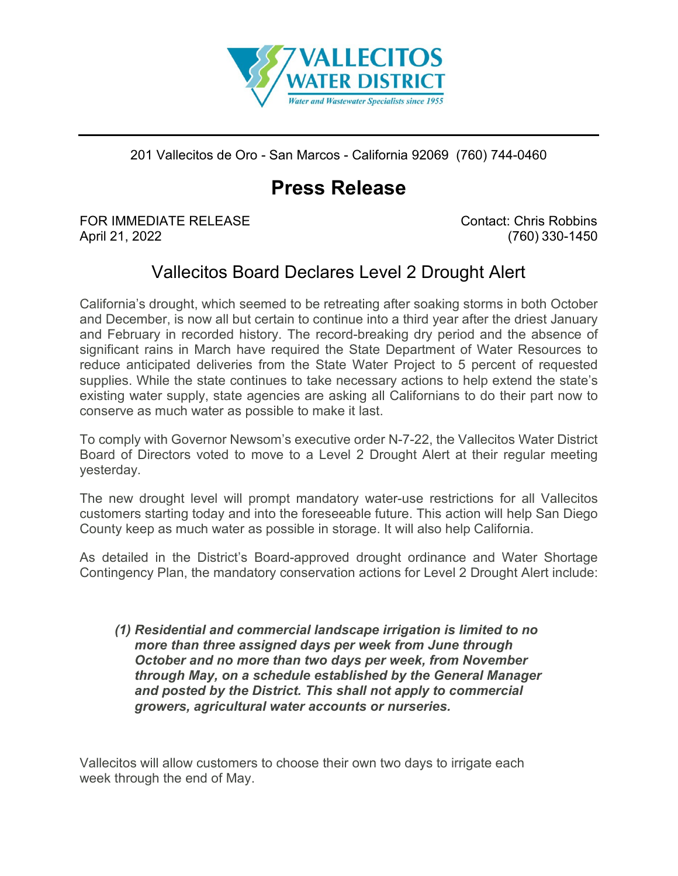

201 Vallecitos de Oro - San Marcos - California 92069 (760) 744-0460

## **Press Release**

FOR IMMEDIATE RELEASE Contact: Chris Robbins April 21, 2022 (760) 330-1450

## Vallecitos Board Declares Level 2 Drought Alert

California's drought, which seemed to be retreating after soaking storms in both October and December, is now all but certain to continue into a third year after the driest January and February in recorded history. The record-breaking dry period and the absence of significant rains in March have required the State Department of Water Resources to reduce anticipated deliveries from the State Water Project to 5 percent of requested supplies. While the state continues to take necessary actions to help extend the state's existing water supply, state agencies are asking all Californians to do their part now to conserve as much water as possible to make it last.

To comply with Governor Newsom's executive order N-7-22, the Vallecitos Water District Board of Directors voted to move to a Level 2 Drought Alert at their regular meeting yesterday.

The new drought level will prompt mandatory water-use restrictions for all Vallecitos customers starting today and into the foreseeable future. This action will help San Diego County keep as much water as possible in storage. It will also help California.

As detailed in the District's Board-approved drought ordinance and Water Shortage Contingency Plan, the mandatory conservation actions for Level 2 Drought Alert include:

*(1) Residential and commercial landscape irrigation is limited to no more than three assigned days per week from June through October and no more than two days per week, from November through May, on a schedule established by the General Manager and posted by the District. This shall not apply to commercial growers, agricultural water accounts or nurseries.*

Vallecitos will allow customers to choose their own two days to irrigate each week through the end of May.